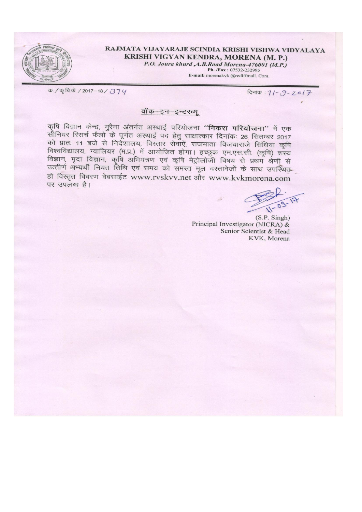

RAJMATA VIJAYARAJE SCINDIA KRISHI VISHWA VIDYALAYA KRISHI VIGYAN KENDRA, MORENA (M. P.)

P.O. Joura khurd, A.B. Road Morena-476001 (M.P.) Ph. /Fax: 07532-232995

E-mail: morenakvk @rediffmail. Com.

क़./क़.वि.के./2017-18/374

दिनांक: 11 - 9 - 2017

### वॉक-इन-इन्टरव्य

कृषि विज्ञान केन्द्र, मुरैना अंतर्गत अस्थाई परियोजना "निकरा परियोजना" में एक पूरीन निर्देशीय के प्रेली के पूर्णत अख्याई पद हेतु साक्षात्कार दिनांकः 26 सितम्बर 2017<br>को प्रातः 11 बजे से निदेशालय, विस्तार सेवाएें, राजमाता विजयाराजे सिंधिया कृषि पर्म ब्रांसः । मध्य समाप्तपादिनं, मिस्सारं समारं, समाप्ता मिश्रमास्य स्वाम ग्हन्तुः<br>विज्ञान, मृदा विज्ञान, कृषि अभियंत्रण एवं कृषि मेट्रोलोजी विषय से प्रथम श्रेणी से<br>उत्तीर्ण अभ्यर्थी नियत तिथि एवं समय को समस्त मूल दस्ताव हो विस्तृत विवरण वेबसाईट www.rvskvv.net और www.kvkmorena.com पर उपलब्ध है।

 $11 - 09$ 

 $(S.P.$  Singh $)$ Principal Investigator (NICRA) & Senior Scientist & Head KVK, Morena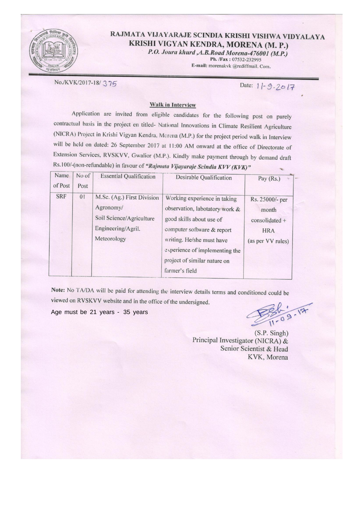

## RAJMATA VIJAYARAJE SCINDIA KRISHI VISHWA VIDYALAYA KRISHI VIGYAN KENDRA, MORENA (M. P.)

P.O. Joura khurd , A.B. Road Morena-476001 (M.P.)

Ph. /Fax: 07532-232995 E-mail: morenakvk @rediffmail. Com.

No./KVK/2017-18/375

Date: 11-9-2017

#### **Walk in Interview**

Application are invited from eligible candidates for the following post on purely contractual basis in the project en titled- National Innovations in Climate Resilient Agriculture (NICRA) Project in Krishi Vigyan Kendra, Morena (M.P.) for the project period walk in Interview will be held on dated: 26 September 2017 at 11:00 AM onward at the office of Directorate of Extension Services, RVSKVV, Gwalior (M.P.). Kindly make payment through by demand draft Rs.100/-(non-refundable) in favour of "Rajmata Vijayaraje Scindia KVV (KVK)"

| Name<br>of Post | No of<br>Post | <b>Essential Qualification</b>                                                                           | Desirable Qualification                                                                                                                                                                                                                   | Pay (Rs.)<br><b>Sec</b>                                                         |
|-----------------|---------------|----------------------------------------------------------------------------------------------------------|-------------------------------------------------------------------------------------------------------------------------------------------------------------------------------------------------------------------------------------------|---------------------------------------------------------------------------------|
| <b>SRF</b>      | 01            | M.Sc. (Ag.) First Division<br>Agronomy/<br>Soil Science/Agriculture<br>Engineering/Agril.<br>Meteorology | Working experience in taking<br>observation, labotatory work &<br>good skills about use of<br>computer software & report<br>writing. He/she must have<br>experience of implementing the<br>project of similar nature on<br>farmer's field | Rs. 25000/- per<br>month<br>$consolidated +$<br><b>HRA</b><br>(as per VV rules) |

Note: No TA/DA will be paid for attending the interview details terms and conditioned could be viewed on RVSKVV website and in the office of the undersigned.

Age must be 21 years - 35 years

 $36.2 - 17$ 

 $(S.P.$  Singh) Principal Investigator (NICRA) & Senior Scientist & Head KVK, Morena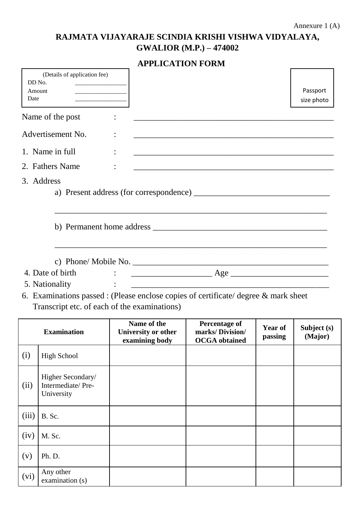# **RAJMATA VIJAYARAJE SCINDIA KRISHI VISHWA VIDYALAYA, GWALIOR (M.P.) – 474002**

|  |  |  | <b>APPLICATION FORM</b> |
|--|--|--|-------------------------|
|--|--|--|-------------------------|

| DD No.<br>Amount<br>Date | (Details of application fee)                         |                                                                                                                                                                                                                                                                                                                                                                                                                                                                                                                                                                   |                                                                                                                        |                    | Passport<br>size photo |  |  |
|--------------------------|------------------------------------------------------|-------------------------------------------------------------------------------------------------------------------------------------------------------------------------------------------------------------------------------------------------------------------------------------------------------------------------------------------------------------------------------------------------------------------------------------------------------------------------------------------------------------------------------------------------------------------|------------------------------------------------------------------------------------------------------------------------|--------------------|------------------------|--|--|
|                          | Name of the post                                     |                                                                                                                                                                                                                                                                                                                                                                                                                                                                                                                                                                   | <u> 1980 - Jan Barnett, fransk politik (d. 1980)</u>                                                                   |                    |                        |  |  |
|                          | Advertisement No.                                    |                                                                                                                                                                                                                                                                                                                                                                                                                                                                                                                                                                   | and the control of the control of the control of the control of the control of the control of the control of the       |                    |                        |  |  |
|                          | 1. Name in full                                      |                                                                                                                                                                                                                                                                                                                                                                                                                                                                                                                                                                   | <u> 2000 - Jan Barnett, mars ann an t-Amhainn an t-Amhainn an t-Amhainn an t-Amhainn an t-Amhainn an t-Amhainn an </u> |                    |                        |  |  |
|                          | 2. Fathers Name                                      |                                                                                                                                                                                                                                                                                                                                                                                                                                                                                                                                                                   |                                                                                                                        |                    |                        |  |  |
|                          | 3. Address                                           |                                                                                                                                                                                                                                                                                                                                                                                                                                                                                                                                                                   |                                                                                                                        |                    |                        |  |  |
|                          |                                                      |                                                                                                                                                                                                                                                                                                                                                                                                                                                                                                                                                                   |                                                                                                                        |                    |                        |  |  |
|                          | 4. Date of birth<br>5. Nationality                   | $\therefore$ $\frac{1}{\frac{1}{1-\frac{1}{1-\frac{1}{1-\frac{1}{1-\frac{1}{1-\frac{1}{1-\frac{1}{1-\frac{1}{1-\frac{1}{1-\frac{1}{1-\frac{1}{1-\frac{1}{1-\frac{1}{1-\frac{1}{1-\frac{1}{1-\frac{1}{1-\frac{1}{1-\frac{1}{1-\frac{1}{1-\frac{1}{1-\frac{1}{1-\frac{1}{1-\frac{1}{1-\frac{1}{1-\frac{1}{1-\frac{1}{1-\frac{1}{1-\frac{1}{1-\frac{1}{1-\frac{1}{1-\frac{1}{1-\frac{1}{1-\frac{1}{1-\frac{1}{1-\frac{1}{$<br>6. Examinations passed : (Please enclose copies of certificate/ degree $\&$ mark sheet<br>Transcript etc. of each of the examinations) |                                                                                                                        |                    |                        |  |  |
| <b>Examination</b>       |                                                      | Name of the<br>University or other<br>examining body                                                                                                                                                                                                                                                                                                                                                                                                                                                                                                              | <b>Percentage of</b><br>marks/Division/<br><b>OCGA</b> obtained                                                        | Year of<br>passing | Subject (s)<br>(Major) |  |  |
| (i)                      | <b>High School</b>                                   |                                                                                                                                                                                                                                                                                                                                                                                                                                                                                                                                                                   |                                                                                                                        |                    |                        |  |  |
| (ii)                     | Higher Secondary/<br>Intermediate/Pre-<br>University |                                                                                                                                                                                                                                                                                                                                                                                                                                                                                                                                                                   |                                                                                                                        |                    |                        |  |  |
| (iii)                    | B. Sc.                                               |                                                                                                                                                                                                                                                                                                                                                                                                                                                                                                                                                                   |                                                                                                                        |                    |                        |  |  |
| (iv)                     | M. Sc.                                               |                                                                                                                                                                                                                                                                                                                                                                                                                                                                                                                                                                   |                                                                                                                        |                    |                        |  |  |
| (v)                      | Ph. D.                                               |                                                                                                                                                                                                                                                                                                                                                                                                                                                                                                                                                                   |                                                                                                                        |                    |                        |  |  |
| (vi)                     | Any other<br>examination (s)                         |                                                                                                                                                                                                                                                                                                                                                                                                                                                                                                                                                                   |                                                                                                                        |                    |                        |  |  |